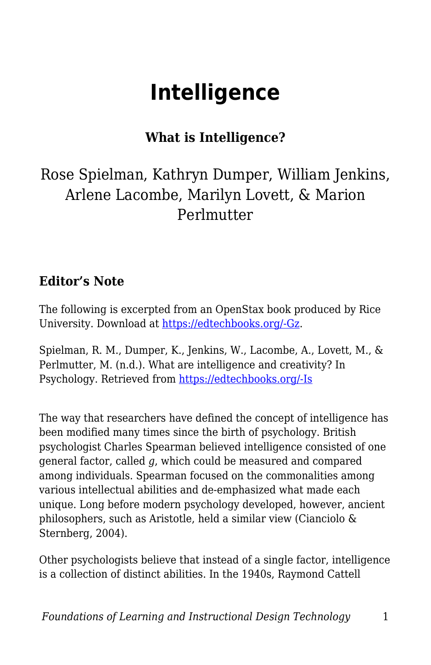# **Intelligence**

### **What is Intelligence?**

# Rose Spielman, Kathryn Dumper, William Jenkins, Arlene Lacombe, Marilyn Lovett, & Marion Perlmutter

#### **Editor's Note**

The following is excerpted from an OpenStax book produced by Rice University. Download at [https://edtechbooks.org/-Gz](http://cnx.org/content/col11629/latest/).

Spielman, R. M., Dumper, K., Jenkins, W., Lacombe, A., Lovett, M., & Perlmutter, M. (n.d.). What are intelligence and creativity? In Psychology. Retrieved from [https://edtechbooks.org/-Is](http://cnx.org/contents/Sr8Ev5Og@5.75:llWPi2c1@5/What-Are-Intelligence-and-Crea)

The way that researchers have defined the concept of intelligence has been modified many times since the birth of psychology. British psychologist Charles Spearman believed intelligence consisted of one general factor, called *g*, which could be measured and compared among individuals. Spearman focused on the commonalities among various intellectual abilities and de-emphasized what made each unique. Long before modern psychology developed, however, ancient philosophers, such as Aristotle, held a similar view (Cianciolo & Sternberg, 2004).

Other psychologists believe that instead of a single factor, intelligence is a collection of distinct abilities. In the 1940s, Raymond Cattell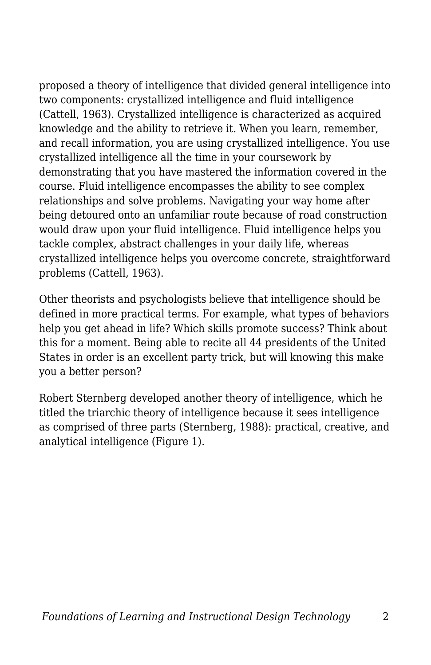proposed a theory of intelligence that divided general intelligence into two components: crystallized intelligence and fluid intelligence (Cattell, 1963). Crystallized intelligence is characterized as acquired knowledge and the ability to retrieve it. When you learn, remember, and recall information, you are using crystallized intelligence. You use crystallized intelligence all the time in your coursework by demonstrating that you have mastered the information covered in the course. Fluid intelligence encompasses the ability to see complex relationships and solve problems. Navigating your way home after being detoured onto an unfamiliar route because of road construction would draw upon your fluid intelligence. Fluid intelligence helps you tackle complex, abstract challenges in your daily life, whereas crystallized intelligence helps you overcome concrete, straightforward problems (Cattell, 1963).

Other theorists and psychologists believe that intelligence should be defined in more practical terms. For example, what types of behaviors help you get ahead in life? Which skills promote success? Think about this for a moment. Being able to recite all 44 presidents of the United States in order is an excellent party trick, but will knowing this make you a better person?

Robert Sternberg developed another theory of intelligence, which he titled the triarchic theory of intelligence because it sees intelligence as comprised of three parts (Sternberg, 1988): practical, creative, and analytical intelligence (Figure 1).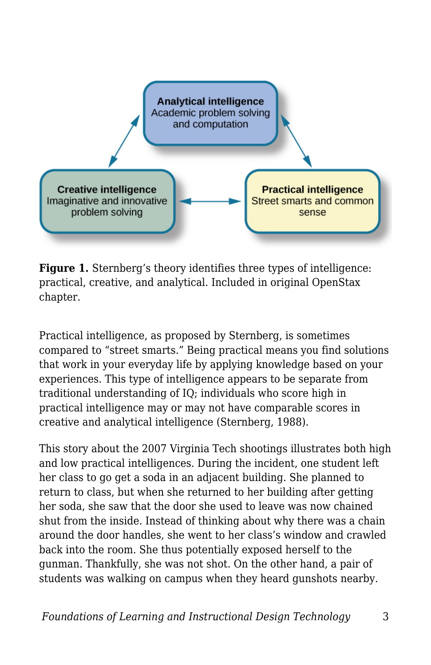

**Figure 1.** Sternberg's theory identifies three types of intelligence: practical, creative, and analytical. Included in original OpenStax chapter.

Practical intelligence, as proposed by Sternberg, is sometimes compared to "street smarts." Being practical means you find solutions that work in your everyday life by applying knowledge based on your experiences. This type of intelligence appears to be separate from traditional understanding of IQ; individuals who score high in practical intelligence may or may not have comparable scores in creative and analytical intelligence (Sternberg, 1988).

This story about the 2007 Virginia Tech shootings illustrates both high and low practical intelligences. During the incident, one student left her class to go get a soda in an adjacent building. She planned to return to class, but when she returned to her building after getting her soda, she saw that the door she used to leave was now chained shut from the inside. Instead of thinking about why there was a chain around the door handles, she went to her class's window and crawled back into the room. She thus potentially exposed herself to the gunman. Thankfully, she was not shot. On the other hand, a pair of students was walking on campus when they heard gunshots nearby.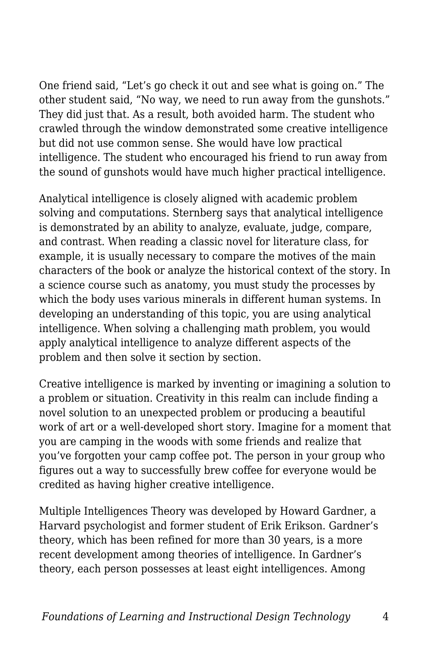One friend said, "Let's go check it out and see what is going on." The other student said, "No way, we need to run away from the gunshots." They did just that. As a result, both avoided harm. The student who crawled through the window demonstrated some creative intelligence but did not use common sense. She would have low practical intelligence. The student who encouraged his friend to run away from the sound of gunshots would have much higher practical intelligence.

Analytical intelligence is closely aligned with academic problem solving and computations. Sternberg says that analytical intelligence is demonstrated by an ability to analyze, evaluate, judge, compare, and contrast. When reading a classic novel for literature class, for example, it is usually necessary to compare the motives of the main characters of the book or analyze the historical context of the story. In a science course such as anatomy, you must study the processes by which the body uses various minerals in different human systems. In developing an understanding of this topic, you are using analytical intelligence. When solving a challenging math problem, you would apply analytical intelligence to analyze different aspects of the problem and then solve it section by section.

Creative intelligence is marked by inventing or imagining a solution to a problem or situation. Creativity in this realm can include finding a novel solution to an unexpected problem or producing a beautiful work of art or a well-developed short story. Imagine for a moment that you are camping in the woods with some friends and realize that you've forgotten your camp coffee pot. The person in your group who figures out a way to successfully brew coffee for everyone would be credited as having higher creative intelligence.

Multiple Intelligences Theory was developed by Howard Gardner, a Harvard psychologist and former student of Erik Erikson. Gardner's theory, which has been refined for more than 30 years, is a more recent development among theories of intelligence. In Gardner's theory, each person possesses at least eight intelligences. Among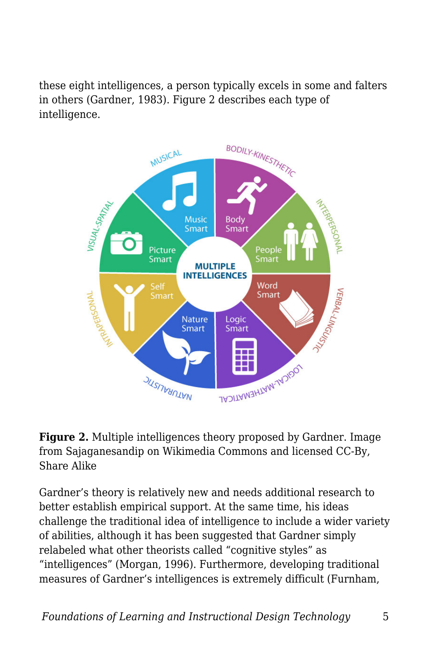these eight intelligences, a person typically excels in some and falters in others (Gardner, 1983). Figure 2 describes each type of intelligence.





Gardner's theory is relatively new and needs additional research to better establish empirical support. At the same time, his ideas challenge the traditional idea of intelligence to include a wider variety of abilities, although it has been suggested that Gardner simply relabeled what other theorists called "cognitive styles" as "intelligences" (Morgan, 1996). Furthermore, developing traditional measures of Gardner's intelligences is extremely difficult (Furnham,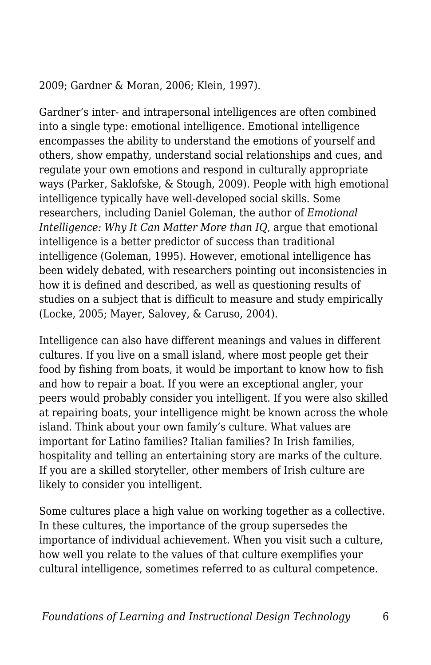2009; Gardner & Moran, 2006; Klein, 1997).

Gardner's inter- and intrapersonal intelligences are often combined into a single type: emotional intelligence. Emotional intelligence encompasses the ability to understand the emotions of yourself and others, show empathy, understand social relationships and cues, and regulate your own emotions and respond in culturally appropriate ways (Parker, Saklofske, & Stough, 2009). People with high emotional intelligence typically have well-developed social skills. Some researchers, including Daniel Goleman, the author of *Emotional Intelligence: Why It Can Matter More than IQ*, argue that emotional intelligence is a better predictor of success than traditional intelligence (Goleman, 1995). However, emotional intelligence has been widely debated, with researchers pointing out inconsistencies in how it is defined and described, as well as questioning results of studies on a subject that is difficult to measure and study empirically (Locke, 2005; Mayer, Salovey, & Caruso, 2004).

Intelligence can also have different meanings and values in different cultures. If you live on a small island, where most people get their food by fishing from boats, it would be important to know how to fish and how to repair a boat. If you were an exceptional angler, your peers would probably consider you intelligent. If you were also skilled at repairing boats, your intelligence might be known across the whole island. Think about your own family's culture. What values are important for Latino families? Italian families? In Irish families, hospitality and telling an entertaining story are marks of the culture. If you are a skilled storyteller, other members of Irish culture are likely to consider you intelligent.

Some cultures place a high value on working together as a collective. In these cultures, the importance of the group supersedes the importance of individual achievement. When you visit such a culture, how well you relate to the values of that culture exemplifies your cultural intelligence, sometimes referred to as cultural competence.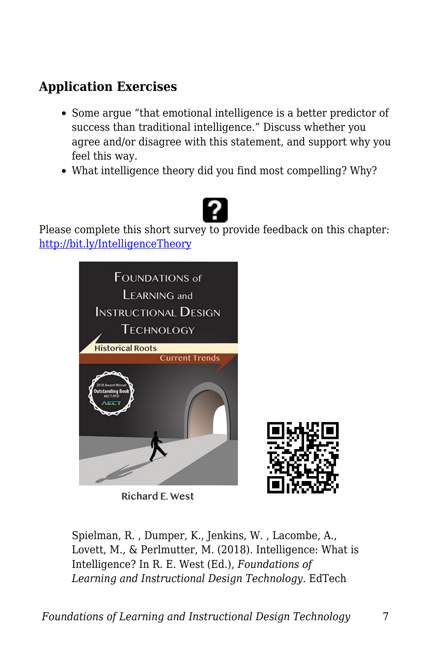## **Application Exercises**

- Some argue "that emotional intelligence is a better predictor of success than traditional intelligence." Discuss whether you agree and/or disagree with this statement, and support why you feel this way.
- What intelligence theory did you find most compelling? Why?



Please complete this short survey to provide feedback on this chapter: <http://bit.ly/IntelligenceTheory>



Richard E. West



Spielman, R. , Dumper, K., Jenkins, W. , Lacombe, A., Lovett, M., & Perlmutter, M. (2018). Intelligence: What is Intelligence? In R. E. West (Ed.), *Foundations of Learning and Instructional Design Technology*. EdTech